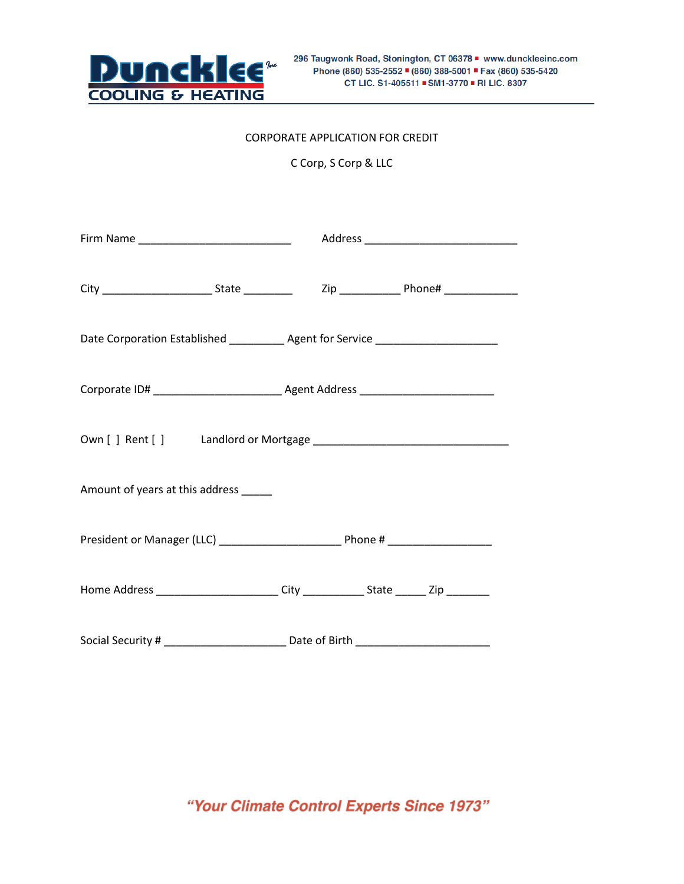

## CORPORATE APPLICATION FOR CREDIT

C Corp, S Corp & LLC

|                                      | Date Corporation Established ____________ Agent for Service ____________________  |  |  |  |  |
|--------------------------------------|-----------------------------------------------------------------------------------|--|--|--|--|
|                                      |                                                                                   |  |  |  |  |
|                                      |                                                                                   |  |  |  |  |
| Amount of years at this address ____ |                                                                                   |  |  |  |  |
|                                      |                                                                                   |  |  |  |  |
|                                      | Home Address _________________________City _____________State _______Zip ________ |  |  |  |  |
|                                      |                                                                                   |  |  |  |  |

"Your Climate Control Experts Since 1973"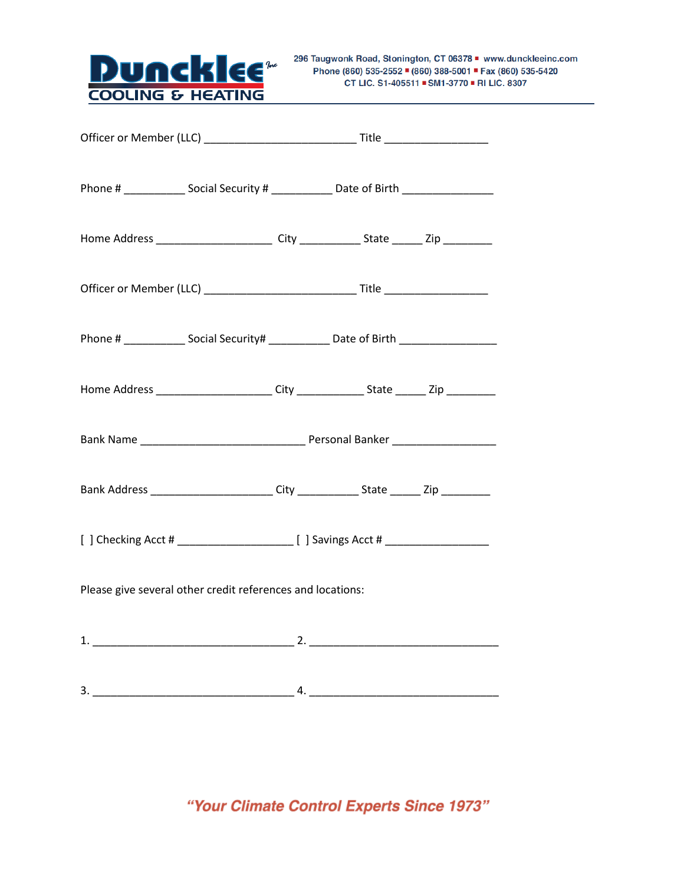

| Home Address __________________________City ______________State ________Zip ___________              |  |  |  |  |  |
|------------------------------------------------------------------------------------------------------|--|--|--|--|--|
|                                                                                                      |  |  |  |  |  |
| Phone # ________________ Social Security# ________________ Date of Birth ___________________________ |  |  |  |  |  |
| Home Address ________________________City _______________State _______ Zip __________                |  |  |  |  |  |
|                                                                                                      |  |  |  |  |  |
| Bank Address _________________________City _____________State ________Zip ___________                |  |  |  |  |  |
|                                                                                                      |  |  |  |  |  |
| Please give several other credit references and locations:                                           |  |  |  |  |  |
|                                                                                                      |  |  |  |  |  |
|                                                                                                      |  |  |  |  |  |

"Your Climate Control Experts Since 1973"